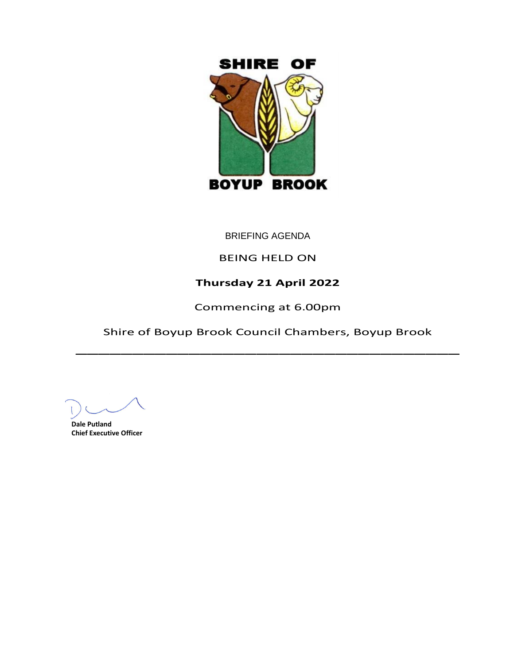

BRIEFING AGENDA

# BEING HELD ON

# **Thursday 21 April 2022**

Commencing at 6.00pm

Shire of Boyup Brook Council Chambers, Boyup Brook \_\_\_\_\_\_\_\_\_\_\_\_\_\_\_\_\_\_\_\_\_\_\_\_\_\_\_\_\_\_\_\_\_\_

**Dale Putland Chief Executive Officer**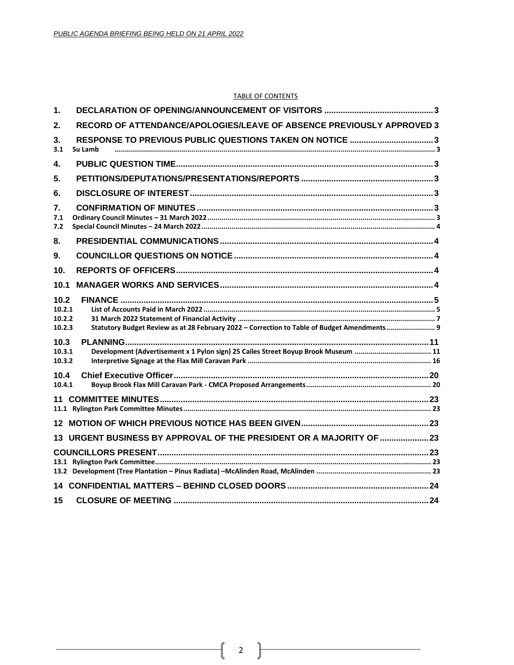#### **TABLE OF CONTENTS**

| 1.                                 |                                                                                             |  |
|------------------------------------|---------------------------------------------------------------------------------------------|--|
| 2 <sub>1</sub>                     | RECORD OF ATTENDANCE/APOLOGIES/LEAVE OF ABSENCE PREVIOUSLY APPROVED 3                       |  |
| 3.<br>3.1                          | Su Lamb                                                                                     |  |
| 4.                                 |                                                                                             |  |
| 5.                                 |                                                                                             |  |
| 6.                                 |                                                                                             |  |
| 7.<br>7.1<br>7.2                   |                                                                                             |  |
| 8.                                 |                                                                                             |  |
| 9.                                 |                                                                                             |  |
| 10.                                |                                                                                             |  |
| 10.1                               |                                                                                             |  |
| 10.2<br>10.2.1<br>10.2.2<br>10.2.3 | Statutory Budget Review as at 28 February 2022 - Correction to Table of Budget Amendments 9 |  |
| 10.3<br>10.3.1<br>10.3.2           | Development (Advertisement x 1 Pylon sign) 25 Cailes Street Boyup Brook Museum  11          |  |
| 10.4<br>10.4.1                     |                                                                                             |  |
|                                    |                                                                                             |  |
|                                    |                                                                                             |  |
|                                    | 13 URGENT BUSINESS BY APPROVAL OF THE PRESIDENT OR A MAJORITY OF 23                         |  |
|                                    |                                                                                             |  |
|                                    |                                                                                             |  |
| 15                                 |                                                                                             |  |

-1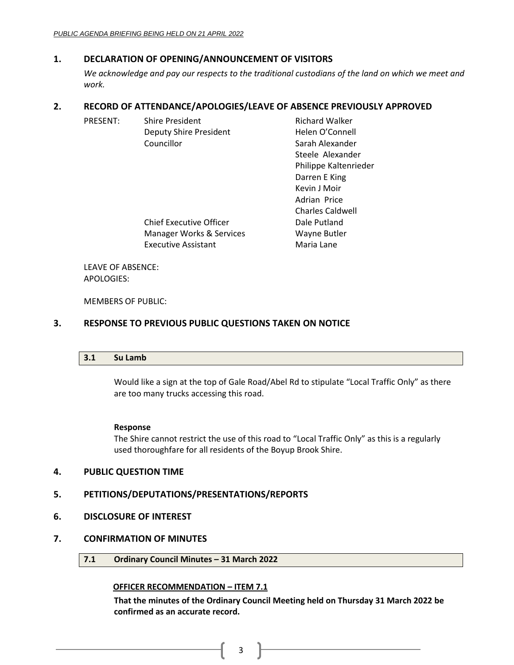# <span id="page-2-0"></span>**1. DECLARATION OF OPENING/ANNOUNCEMENT OF VISITORS**

*We acknowledge and pay our respects to the traditional custodians of the land on which we meet and work.*

# <span id="page-2-1"></span>**2. RECORD OF ATTENDANCE/APOLOGIES/LEAVE OF ABSENCE PREVIOUSLY APPROVED**

| PRESENT:          | <b>Shire President</b>         | <b>Richard Walker</b>   |
|-------------------|--------------------------------|-------------------------|
|                   | <b>Deputy Shire President</b>  | Helen O'Connell         |
|                   | Councillor                     | Sarah Alexander         |
|                   |                                | Steele Alexander        |
|                   |                                | Philippe Kaltenrieder   |
|                   |                                | Darren E King           |
|                   |                                | Kevin J Moir            |
|                   |                                | Adrian Price            |
|                   |                                | <b>Charles Caldwell</b> |
|                   | <b>Chief Executive Officer</b> | Dale Putland            |
|                   | Manager Works & Services       | Wayne Butler            |
|                   | <b>Executive Assistant</b>     | Maria Lane              |
|                   |                                |                         |
| LEAVE OF ARSENCE. |                                |                         |

LEAVE OF ABSENCE: APOLOGIES:

MEMBERS OF PUBLIC:

# <span id="page-2-3"></span><span id="page-2-2"></span>**3. RESPONSE TO PREVIOUS PUBLIC QUESTIONS TAKEN ON NOTICE**

|  | 3.1 Su Lamb |  |  |  |  |
|--|-------------|--|--|--|--|
|--|-------------|--|--|--|--|

Would like a sign at the top of Gale Road/Abel Rd to stipulate "Local Traffic Only" as there are too many trucks accessing this road.

## **Response**

The Shire cannot restrict the use of this road to "Local Traffic Only" as this is a regularly used thoroughfare for all residents of the Boyup Brook Shire.

## <span id="page-2-4"></span>**4. PUBLIC QUESTION TIME**

# <span id="page-2-5"></span>**5. PETITIONS/DEPUTATIONS/PRESENTATIONS/REPORTS**

<span id="page-2-6"></span>**6. DISCLOSURE OF INTEREST**

## <span id="page-2-8"></span><span id="page-2-7"></span>**7. CONFIRMATION OF MINUTES**

**7.1 Ordinary Council Minutes – 31 March 2022**

## **OFFICER RECOMMENDATION – ITEM 7.1**

**That the minutes of the Ordinary Council Meeting held on Thursday 31 March 2022 be confirmed as an accurate record.**

3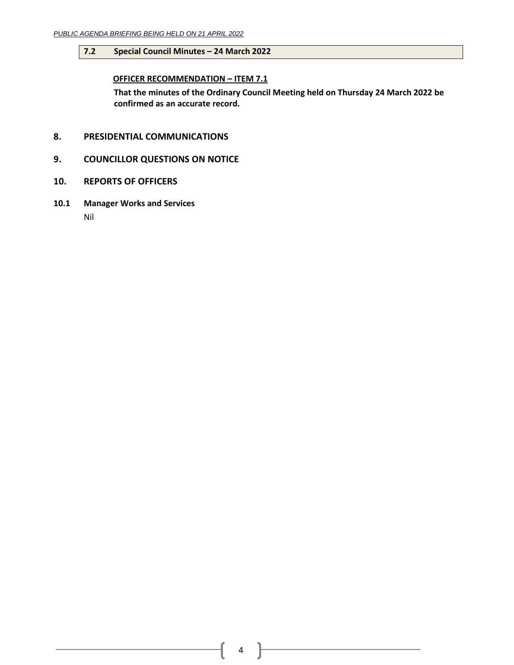## <span id="page-3-0"></span>**7.2 Special Council Minutes – 24 March 2022**

# **OFFICER RECOMMENDATION – ITEM 7.1**

**That the minutes of the Ordinary Council Meeting held on Thursday 24 March 2022 be confirmed as an accurate record.**

- <span id="page-3-1"></span>**8. PRESIDENTIAL COMMUNICATIONS**
- <span id="page-3-2"></span>**9. COUNCILLOR QUESTIONS ON NOTICE**
- <span id="page-3-3"></span>**10. REPORTS OF OFFICERS**
- <span id="page-3-4"></span>**10.1 Manager Works and Services** Nil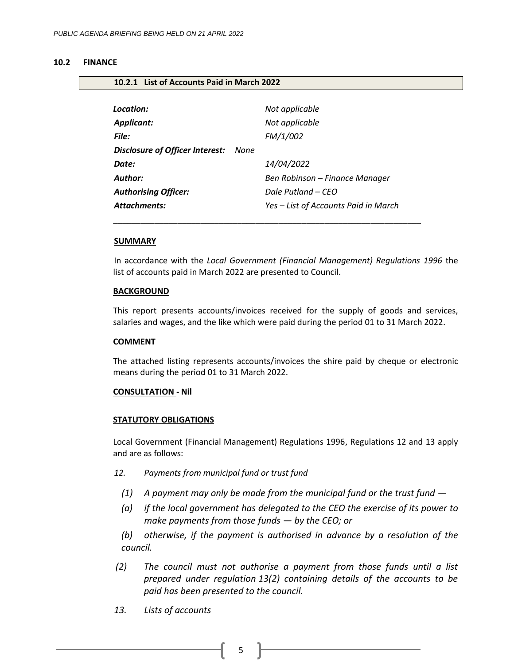#### <span id="page-4-0"></span>**10.2 FINANCE**

#### <span id="page-4-1"></span>**10.2.1 List of Accounts Paid in March 2022**

| Location:<br><b>Applicant:</b><br>File: |      | Not applicable<br>Not applicable<br>FM/1/002 |
|-----------------------------------------|------|----------------------------------------------|
| Disclosure of Officer Interest:         | None |                                              |
| Date:                                   |      | 14/04/2022                                   |
| Author:                                 |      | Ben Robinson – Finance Manager               |
| <b>Authorising Officer:</b>             |      | Dale Putland – CEO                           |
| <b>Attachments:</b>                     |      | Yes - List of Accounts Paid in March         |

\_\_\_\_\_\_\_\_\_\_\_\_\_\_\_\_\_\_\_\_\_\_\_\_\_\_\_\_\_\_\_\_\_\_\_\_\_\_\_\_\_\_\_\_\_\_\_\_\_\_\_\_\_\_\_\_\_\_\_\_\_\_\_\_\_\_\_

#### **SUMMARY**

In accordance with the *Local Government (Financial Management) Regulations 1996* the list of accounts paid in March 2022 are presented to Council.

#### **BACKGROUND**

This report presents accounts/invoices received for the supply of goods and services, salaries and wages, and the like which were paid during the period 01 to 31 March 2022.

#### **COMMENT**

The attached listing represents accounts/invoices the shire paid by cheque or electronic means during the period 01 to 31 March 2022.

#### **CONSULTATION - Nil**

#### **STATUTORY OBLIGATIONS**

Local Government (Financial Management) Regulations 1996, Regulations 12 and 13 apply and are as follows:

- *12. Payments from municipal fund or trust fund*
	- *(1) A payment may only be made from the municipal fund or the trust fund —*
	- *(a) if the local government has delegated to the CEO the exercise of its power to make payments from those funds — by the CEO; or*

*(b) otherwise, if the payment is authorised in advance by a resolution of the council.*

- *(2) The council must not authorise a payment from those funds until a list prepared under regulation 13(2) containing details of the accounts to be paid has been presented to the council.*
- *13. Lists of accounts*

5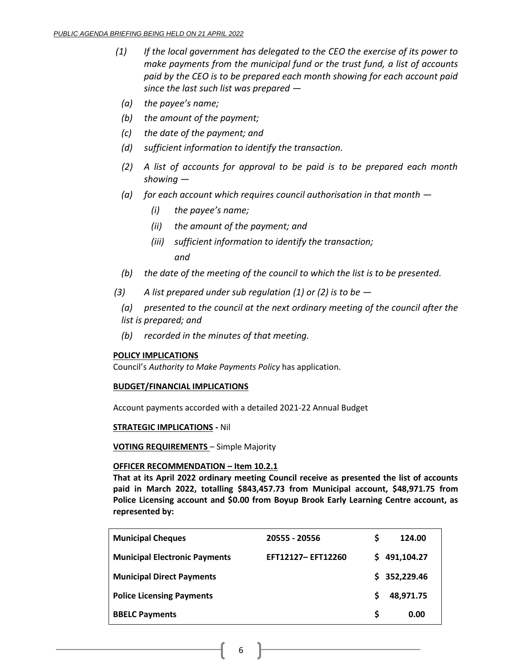- *(1) If the local government has delegated to the CEO the exercise of its power to make payments from the municipal fund or the trust fund, a list of accounts paid by the CEO is to be prepared each month showing for each account paid since the last such list was prepared —*
	- *(a) the payee's name;*
	- *(b) the amount of the payment;*
	- *(c) the date of the payment; and*
	- *(d) sufficient information to identify the transaction.*
	- *(2) A list of accounts for approval to be paid is to be prepared each month showing —*
	- *(a) for each account which requires council authorisation in that month —*
		- *(i) the payee's name;*
		- *(ii) the amount of the payment; and*
		- *(iii) sufficient information to identify the transaction; and*
	- *(b) the date of the meeting of the council to which the list is to be presented.*
- *(3) A list prepared under sub regulation (1) or (2) is to be —*

*(a) presented to the council at the next ordinary meeting of the council after the list is prepared; and*

*(b) recorded in the minutes of that meeting.*

## **POLICY IMPLICATIONS**

Council's *Authority to Make Payments Policy* has application.

## **BUDGET/FINANCIAL IMPLICATIONS**

Account payments accorded with a detailed 2021-22 Annual Budget

## **STRATEGIC IMPLICATIONS -** Nil

**VOTING REQUIREMENTS** – Simple Majority

## **OFFICER RECOMMENDATION – Item 10.2.1**

**That at its April 2022 ordinary meeting Council receive as presented the list of accounts paid in March 2022, totalling \$843,457.73 from Municipal account, \$48,971.75 from Police Licensing account and \$0.00 from Boyup Brook Early Learning Centre account, as represented by:**

| <b>Municipal Cheques</b>             | 20555 - 20556     | S  | 124.00       |
|--------------------------------------|-------------------|----|--------------|
| <b>Municipal Electronic Payments</b> | EFT12127-EFT12260 | S. | 491,104.27   |
| <b>Municipal Direct Payments</b>     |                   |    | \$352,229.46 |
| <b>Police Licensing Payments</b>     |                   |    | 48,971.75    |
| <b>BBELC Payments</b>                |                   | S  | 0.00         |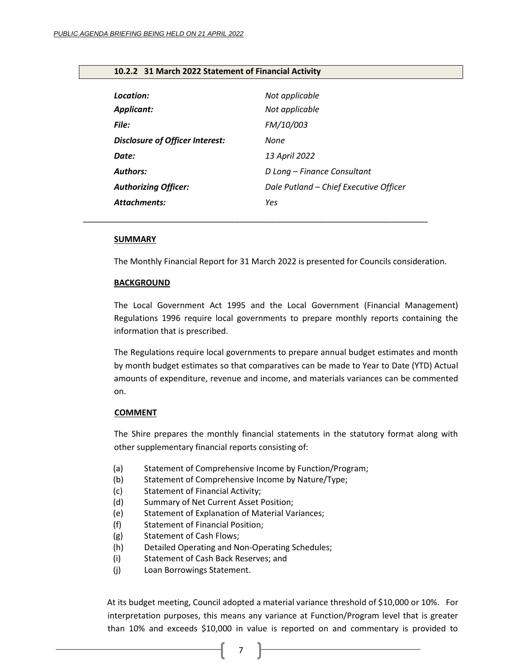## <span id="page-6-0"></span>**10.2.2 31 March 2022 Statement of Financial Activity**

| Location:                              | Not applicable                         |
|----------------------------------------|----------------------------------------|
| <b>Applicant:</b>                      | Not applicable                         |
| File:                                  | FM/10/003                              |
| <b>Disclosure of Officer Interest:</b> | None                                   |
| Date:                                  | 13 April 2022                          |
| <b>Authors:</b>                        | D Long - Finance Consultant            |
| <b>Authorizing Officer:</b>            | Dale Putland - Chief Executive Officer |
| <b>Attachments:</b>                    | Yes                                    |

*\_\_\_\_\_\_\_\_\_\_\_\_\_\_\_\_\_\_\_\_\_\_\_\_\_\_\_\_\_\_\_\_\_\_\_\_\_\_\_\_\_\_\_\_\_\_\_\_\_\_\_\_\_\_\_\_\_\_\_\_\_\_\_\_\_\_\_\_\_\_\_\_\_\_\_*

#### **SUMMARY**

The Monthly Financial Report for 31 March 2022 is presented for Councils consideration.

#### **BACKGROUND**

The Local Government Act 1995 and the Local Government (Financial Management) Regulations 1996 require local governments to prepare monthly reports containing the information that is prescribed.

The Regulations require local governments to prepare annual budget estimates and month by month budget estimates so that comparatives can be made to Year to Date (YTD) Actual amounts of expenditure, revenue and income, and materials variances can be commented on.

#### **COMMENT**

The Shire prepares the monthly financial statements in the statutory format along with other supplementary financial reports consisting of:

- (a) Statement of Comprehensive Income by Function/Program;
- (b) Statement of Comprehensive Income by Nature/Type;
- (c) Statement of Financial Activity;
- (d) Summary of Net Current Asset Position;
- (e) Statement of Explanation of Material Variances;
- (f) Statement of Financial Position;
- (g) Statement of Cash Flows;
- (h) Detailed Operating and Non-Operating Schedules;
- (i) Statement of Cash Back Reserves; and
- (j) Loan Borrowings Statement.

At its budget meeting, Council adopted a material variance threshold of \$10,000 or 10%. For interpretation purposes, this means any variance at Function/Program level that is greater than 10% and exceeds \$10,000 in value is reported on and commentary is provided to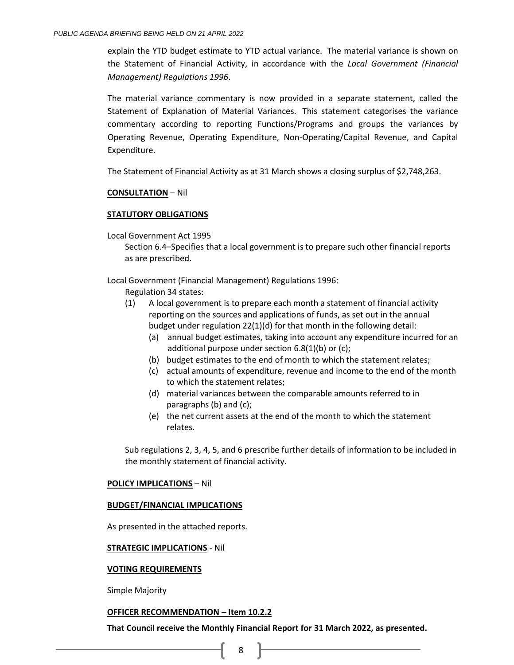explain the YTD budget estimate to YTD actual variance. The material variance is shown on the Statement of Financial Activity, in accordance with the *Local Government (Financial Management) Regulations 1996*.

The material variance commentary is now provided in a separate statement, called the Statement of Explanation of Material Variances. This statement categorises the variance commentary according to reporting Functions/Programs and groups the variances by Operating Revenue, Operating Expenditure, Non-Operating/Capital Revenue, and Capital Expenditure.

The Statement of Financial Activity as at 31 March shows a closing surplus of \$2,748,263.

## **CONSULTATION** – Nil

## **STATUTORY OBLIGATIONS**

Local Government Act 1995

Section 6.4–Specifies that a local government is to prepare such other financial reports as are prescribed.

Local Government (Financial Management) Regulations 1996:

- Regulation 34 states:
- (1) A local government is to prepare each month a statement of financial activity reporting on the sources and applications of funds, as set out in the annual budget under regulation 22(1)(d) for that month in the following detail:
	- (a) annual budget estimates, taking into account any expenditure incurred for an additional purpose under section 6.8(1)(b) or (c);
	- (b) budget estimates to the end of month to which the statement relates;
	- (c) actual amounts of expenditure, revenue and income to the end of the month to which the statement relates;
	- (d) material variances between the comparable amounts referred to in paragraphs (b) and (c);
	- (e) the net current assets at the end of the month to which the statement relates.

Sub regulations 2, 3, 4, 5, and 6 prescribe further details of information to be included in the monthly statement of financial activity.

## **POLICY IMPLICATIONS** – Nil

## **BUDGET/FINANCIAL IMPLICATIONS**

As presented in the attached reports.

## **STRATEGIC IMPLICATIONS** - Nil

## **VOTING REQUIREMENTS**

Simple Majority

## **OFFICER RECOMMENDATION – Item 10.2.2**

**That Council receive the Monthly Financial Report for 31 March 2022, as presented.**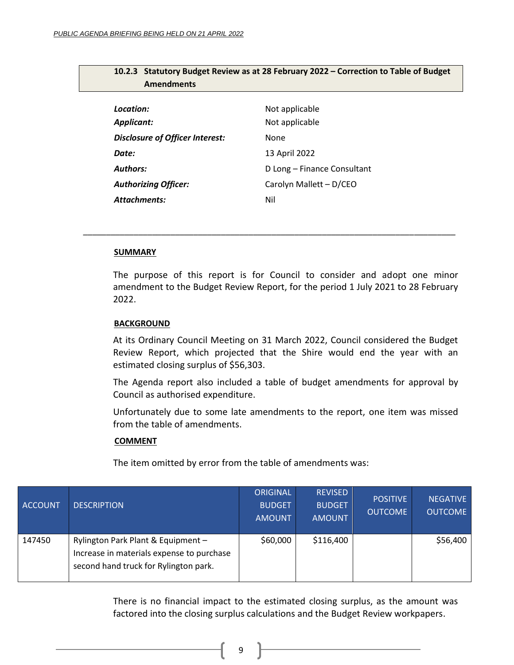| Amendments                             |                             |  |
|----------------------------------------|-----------------------------|--|
|                                        |                             |  |
| Location:                              | Not applicable              |  |
| <b>Applicant:</b>                      | Not applicable              |  |
| <b>Disclosure of Officer Interest:</b> | None                        |  |
| Date:                                  | 13 April 2022               |  |
| <b>Authors:</b>                        | D Long - Finance Consultant |  |
| <b>Authorizing Officer:</b>            | Carolyn Mallett - D/CEO     |  |
| <b>Attachments:</b>                    | Nil                         |  |

*\_\_\_\_\_\_\_\_\_\_\_\_\_\_\_\_\_\_\_\_\_\_\_\_\_\_\_\_\_\_\_\_\_\_\_\_\_\_\_\_\_\_\_\_\_\_\_\_\_\_\_\_\_\_\_\_\_\_\_\_\_\_\_\_\_\_\_\_\_\_\_\_\_\_\_\_\_\_\_\_\_*

# <span id="page-8-0"></span>**10.2.3 Statutory Budget Review as at 28 February 2022 – Correction to Table of Budget Amendments**

## **SUMMARY**

The purpose of this report is for Council to consider and adopt one minor amendment to the Budget Review Report, for the period 1 July 2021 to 28 February 2022.

## **BACKGROUND**

At its Ordinary Council Meeting on 31 March 2022, Council considered the Budget Review Report, which projected that the Shire would end the year with an estimated closing surplus of \$56,303.

The Agenda report also included a table of budget amendments for approval by Council as authorised expenditure.

Unfortunately due to some late amendments to the report, one item was missed from the table of amendments.

#### **COMMENT**

The item omitted by error from the table of amendments was:

| <b>ACCOUNT</b> | <b>DESCRIPTION</b>                                                                                                       | <b>ORIGINAL</b><br><b>BUDGET</b><br><b>AMOUNT</b> | <b>REVISED</b><br><b>BUDGET</b><br><b>AMOUNT</b> | <b>POSITIVE</b><br><b>OUTCOME</b> | <b>NEGATIVE</b><br><b>OUTCOME</b> |
|----------------|--------------------------------------------------------------------------------------------------------------------------|---------------------------------------------------|--------------------------------------------------|-----------------------------------|-----------------------------------|
| 147450         | Rylington Park Plant & Equipment -<br>Increase in materials expense to purchase<br>second hand truck for Rylington park. | \$60,000                                          | \$116,400                                        |                                   | \$56,400                          |

There is no financial impact to the estimated closing surplus, as the amount was factored into the closing surplus calculations and the Budget Review workpapers.

9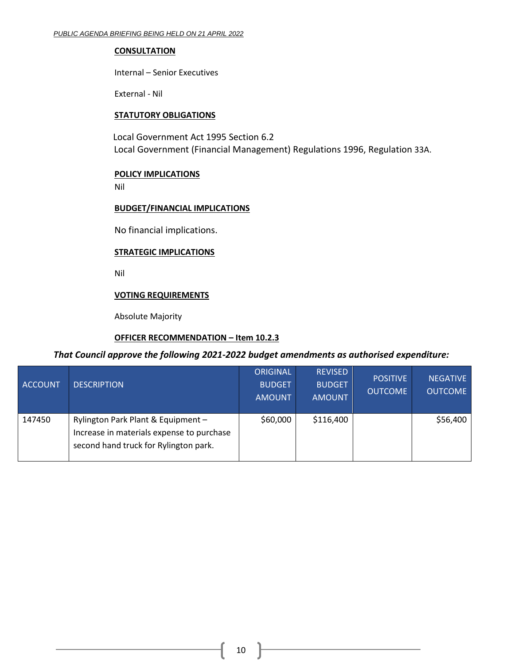## **CONSULTATION**

Internal – Senior Executives

External - Nil

## **STATUTORY OBLIGATIONS**

Local Government Act 1995 Section 6.2 Local Government (Financial Management) Regulations 1996, Regulation 33A.

## **POLICY IMPLICATIONS**

Nil

## **BUDGET/FINANCIAL IMPLICATIONS**

No financial implications.

# **STRATEGIC IMPLICATIONS**

Nil

# **VOTING REQUIREMENTS**

Absolute Majority

# **OFFICER RECOMMENDATION – Item 10.2.3**

# *That Council approve the following 2021-2022 budget amendments as authorised expenditure:*

| <b>ACCOUNT</b> | <b>DESCRIPTION</b>                                                                                                       | <b>ORIGINAL</b><br><b>BUDGET</b><br><b>AMOUNT</b> | <b>REVISED</b><br><b>BUDGET</b><br><b>AMOUNT</b> | <b>POSITIVE</b><br><b>OUTCOME</b> | <b>NEGATIVE</b><br><b>OUTCOME</b> |
|----------------|--------------------------------------------------------------------------------------------------------------------------|---------------------------------------------------|--------------------------------------------------|-----------------------------------|-----------------------------------|
| 147450         | Rylington Park Plant & Equipment -<br>Increase in materials expense to purchase<br>second hand truck for Rylington park. | \$60,000                                          | \$116,400                                        |                                   | \$56,400                          |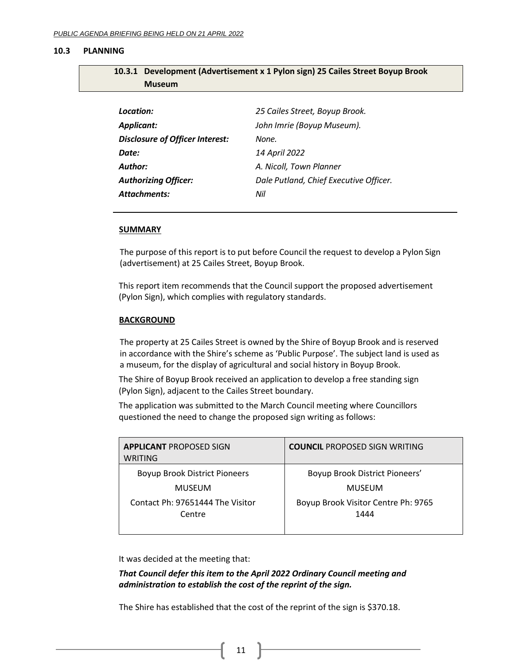#### <span id="page-10-0"></span>**10.3 PLANNING**

<span id="page-10-1"></span>

| 10.3.1 Development (Advertisement x 1 Pylon sign) 25 Cailes Street Boyup Brook |
|--------------------------------------------------------------------------------|
| <b>Museum</b>                                                                  |

| Location:                              | 25 Cailes Street, Boyup Brook.         |
|----------------------------------------|----------------------------------------|
| <b>Applicant:</b>                      | John Imrie (Boyup Museum).             |
| <b>Disclosure of Officer Interest:</b> | None.                                  |
| Date:                                  | 14 April 2022                          |
| Author:                                | A. Nicoll, Town Planner                |
| <b>Authorizing Officer:</b>            | Dale Putland, Chief Executive Officer. |
| <b>Attachments:</b>                    | Nil                                    |

#### **SUMMARY**

The purpose of this report is to put before Council the request to develop a Pylon Sign (advertisement) at 25 Cailes Street, Boyup Brook.

This report item recommends that the Council support the proposed advertisement (Pylon Sign), which complies with regulatory standards.

#### **BACKGROUND**

The property at 25 Cailes Street is owned by the Shire of Boyup Brook and is reserved in accordance with the Shire's scheme as 'Public Purpose'. The subject land is used as a museum, for the display of agricultural and social history in Boyup Brook.

The Shire of Boyup Brook received an application to develop a free standing sign (Pylon Sign), adjacent to the Cailes Street boundary.

The application was submitted to the March Council meeting where Councillors questioned the need to change the proposed sign writing as follows:

| <b>APPLICANT PROPOSED SIGN</b><br>WRITING  | <b>COUNCIL PROPOSED SIGN WRITING</b>        |
|--------------------------------------------|---------------------------------------------|
| <b>Boyup Brook District Pioneers</b>       | Boyup Brook District Pioneers'              |
| <b>MUSEUM</b>                              | <b>MUSEUM</b>                               |
| Contact Ph: 97651444 The Visitor<br>Centre | Boyup Brook Visitor Centre Ph: 9765<br>1444 |

It was decided at the meeting that:

*That Council defer this item to the April 2022 Ordinary Council meeting and administration to establish the cost of the reprint of the sign.*

The Shire has established that the cost of the reprint of the sign is \$370.18.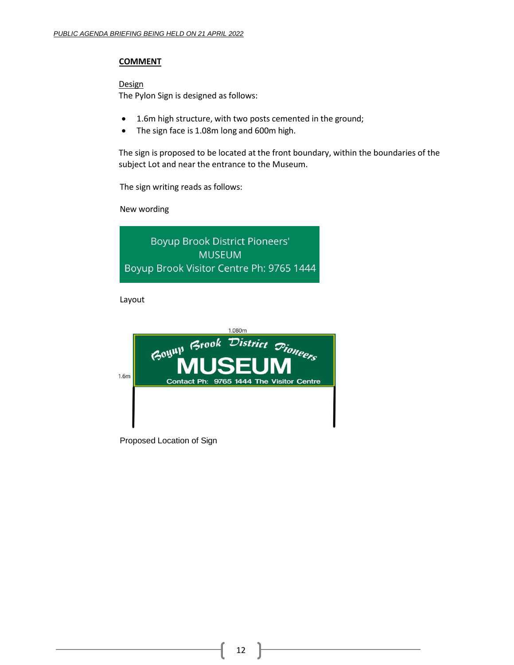## **COMMENT**

**Design** 

The Pylon Sign is designed as follows:

- 1.6m high structure, with two posts cemented in the ground;
- The sign face is 1.08m long and 600m high.

The sign is proposed to be located at the front boundary, within the boundaries of the subject Lot and near the entrance to the Museum.

The sign writing reads as follows:

New wording

**Boyup Brook District Pioneers' MUSEUM** Boyup Brook Visitor Centre Ph: 9765 1444

Layout

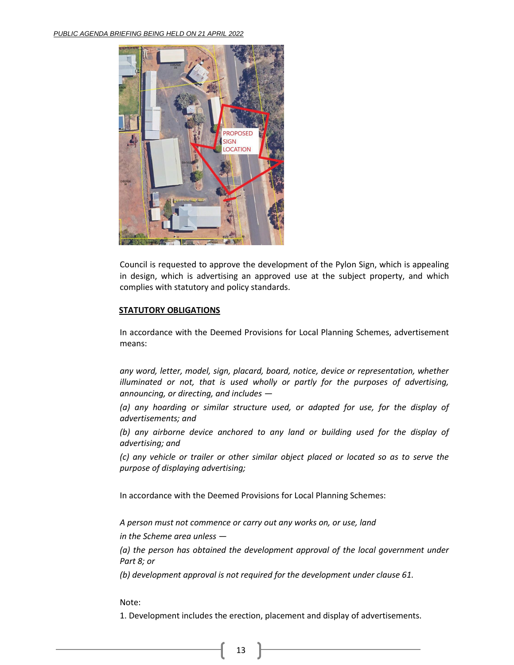

Council is requested to approve the development of the Pylon Sign, which is appealing in design, which is advertising an approved use at the subject property, and which complies with statutory and policy standards.

## **STATUTORY OBLIGATIONS**

In accordance with the Deemed Provisions for Local Planning Schemes, advertisement means:

*any word, letter, model, sign, placard, board, notice, device or representation, whether illuminated or not, that is used wholly or partly for the purposes of advertising, announcing, or directing, and includes —*

*(a) any hoarding or similar structure used, or adapted for use, for the display of advertisements; and*

*(b) any airborne device anchored to any land or building used for the display of advertising; and*

*(c) any vehicle or trailer or other similar object placed or located so as to serve the purpose of displaying advertising;*

In accordance with the Deemed Provisions for Local Planning Schemes:

*A person must not commence or carry out any works on, or use, land*

*in the Scheme area unless —*

*(a) the person has obtained the development approval of the local government under Part 8; or*

*(b) development approval is not required for the development under clause 61.*

Note:

1. Development includes the erection, placement and display of advertisements.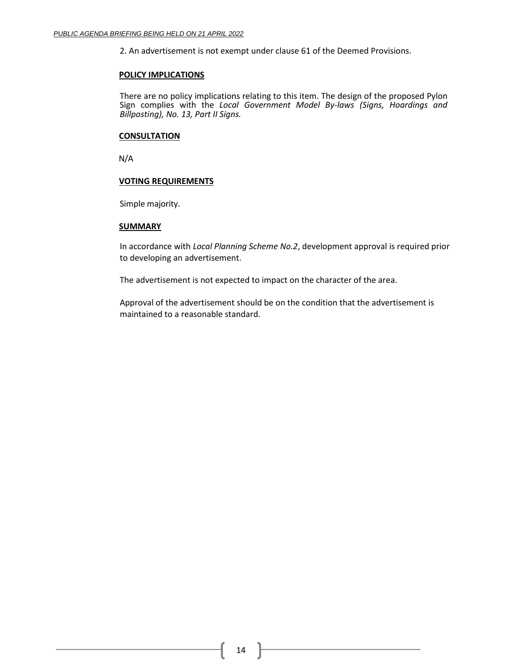2. An advertisement is not exempt under clause 61 of the Deemed Provisions.

#### **POLICY IMPLICATIONS**

There are no policy implications relating to this item. The design of the proposed Pylon Sign complies with the *Local Government Model By-laws (Signs, Hoardings and Billposting), No. 13, Part II Signs.*

#### **CONSULTATION**

N/A

## **VOTING REQUIREMENTS**

Simple majority.

#### **SUMMARY**

In accordance with *Local Planning Scheme No.2*, development approval is required prior to developing an advertisement.

The advertisement is not expected to impact on the character of the area.

Approval of the advertisement should be on the condition that the advertisement is maintained to a reasonable standard.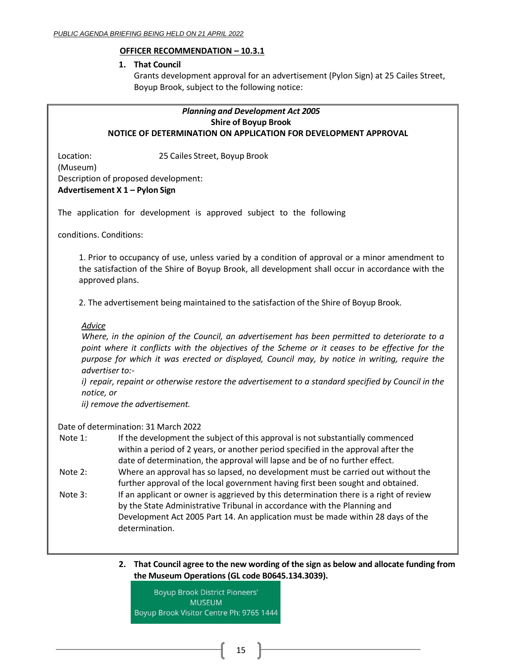## **OFFICER RECOMMENDATION – 10.3.1**

## **1. That Council**

Grants development approval for an advertisement (Pylon Sign) at 25 Cailes Street, Boyup Brook, subject to the following notice:

# *Planning and Development Act 2005* **Shire of Boyup Brook NOTICE OF DETERMINATION ON APPLICATION FOR DEVELOPMENT APPROVAL**

Location: 25 Cailes Street, Boyup Brook (Museum) Description of proposed development: **Advertisement X 1 – Pylon Sign**

The application for development is approved subject to the following

conditions. Conditions:

1. Prior to occupancy of use, unless varied by a condition of approval or a minor amendment to the satisfaction of the Shire of Boyup Brook, all development shall occur in accordance with the approved plans.

2. The advertisement being maintained to the satisfaction of the Shire of Boyup Brook.

## *Advice*

*Where, in the opinion of the Council, an advertisement has been permitted to deteriorate to a point where it conflicts with the objectives of the Scheme or it ceases to be effective for the purpose for which it was erected or displayed, Council may, by notice in writing, require the advertiser to:-*

*i) repair, repaint or otherwise restore the advertisement to a standard specified by Council in the notice, or*

*ii) remove the advertisement.*

## Date of determination: 31 March 2022

Note 1: If the development the subject of this approval is not substantially commenced within a period of 2 years, or another period specified in the approval after the date of determination, the approval will lapse and be of no further effect.

- Note 2: Where an approval has so lapsed, no development must be carried out without the further approval of the local government having first been sought and obtained.
- Note 3: If an applicant or owner is aggrieved by this determination there is a right of review by the State Administrative Tribunal in accordance with the Planning and Development Act 2005 Part 14. An application must be made within 28 days of the determination.
	- **2. That Council agree to the new wording of the sign as below and allocate funding from the Museum Operations (GL code B0645.134.3039).**

**Boyup Brook District Pioneers' MUSEUM** Boyup Brook Visitor Centre Ph: 9765 1444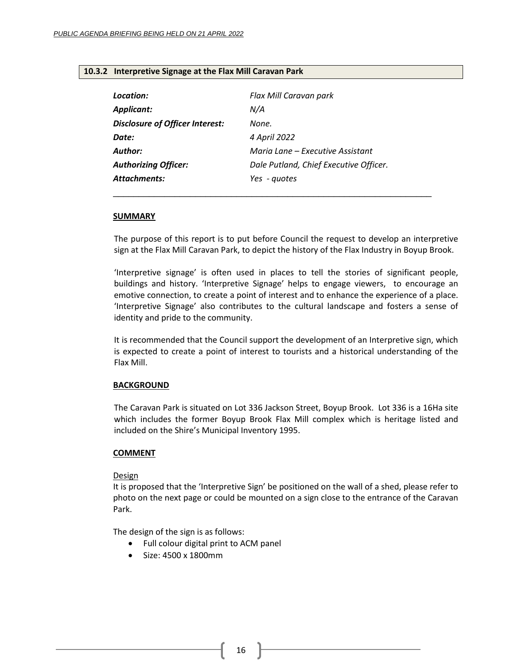## <span id="page-15-0"></span>**10.3.2 Interpretive Signage at the Flax Mill Caravan Park**

| Location:                       | Flax Mill Caravan park                 |
|---------------------------------|----------------------------------------|
| <b>Applicant:</b>               | N/A                                    |
| Disclosure of Officer Interest: | None.                                  |
| Date:                           | 4 April 2022                           |
| Author:                         | Maria Lane – Executive Assistant       |
| <b>Authorizing Officer:</b>     | Dale Putland, Chief Executive Officer. |
| <b>Attachments:</b>             | Yes - guotes                           |
|                                 |                                        |

#### **SUMMARY**

The purpose of this report is to put before Council the request to develop an interpretive sign at the Flax Mill Caravan Park, to depict the history of the Flax Industry in Boyup Brook.

'Interpretive signage' is often used in places to tell the stories of significant people, buildings and history. 'Interpretive Signage' helps to engage viewers, to encourage an emotive connection, to create a point of interest and to enhance the experience of a place. 'Interpretive Signage' also contributes to the cultural landscape and fosters a sense of identity and pride to the community.

It is recommended that the Council support the development of an Interpretive sign, which is expected to create a point of interest to tourists and a historical understanding of the Flax Mill.

## **BACKGROUND**

The Caravan Park is situated on Lot 336 Jackson Street, Boyup Brook. Lot 336 is a 16Ha site which includes the former Boyup Brook Flax Mill complex which is heritage listed and included on the Shire's Municipal Inventory 1995.

## **COMMENT**

## **Design**

It is proposed that the 'Interpretive Sign' be positioned on the wall of a shed, please refer to photo on the next page or could be mounted on a sign close to the entrance of the Caravan Park.

The design of the sign is as follows:

- Full colour digital print to ACM panel
- Size: 4500 x 1800mm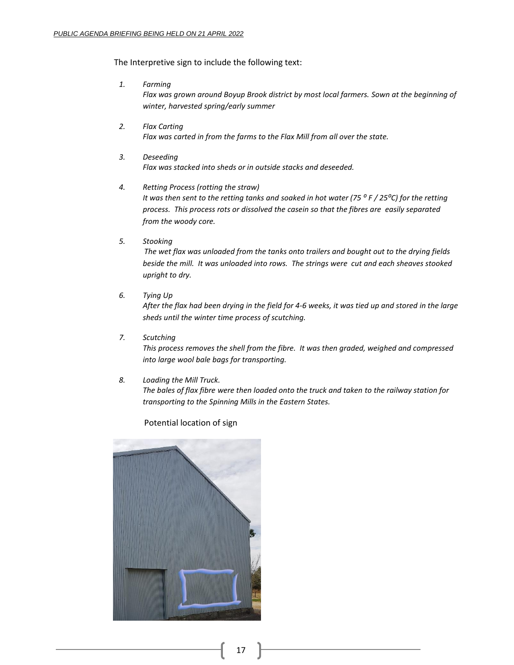The Interpretive sign to include the following text:

*1. Farming*

*Flax was grown around Boyup Brook district by most local farmers. Sown at the beginning of winter, harvested spring/early summer*

- *2. Flax Carting Flax was carted in from the farms to the Flax Mill from all over the state.*
- *3. Deseeding Flax was stacked into sheds or in outside stacks and deseeded.*

#### *4. Retting Process (rotting the straw)*

*It was then sent to the retting tanks and soaked in hot water (75 ⁰ F / 25⁰C) for the retting process. This process rots or dissolved the casein so that the fibres are easily separated from the woody core.*

*5. Stooking*

*The wet flax was unloaded from the tanks onto trailers and bought out to the drying fields beside the mill. It was unloaded into rows. The strings were cut and each sheaves stooked upright to dry.*

*6. Tying Up*

*After the flax had been drying in the field for 4-6 weeks, it was tied up and stored in the large sheds until the winter time process of scutching.* 

*7. Scutching*

*This process removes the shell from the fibre. It was then graded, weighed and compressed into large wool bale bags for transporting.*

#### *8. Loading the Mill Truck.*

*The bales of flax fibre were then loaded onto the truck and taken to the railway station for transporting to the Spinning Mills in the Eastern States.* 

## Potential location of sign

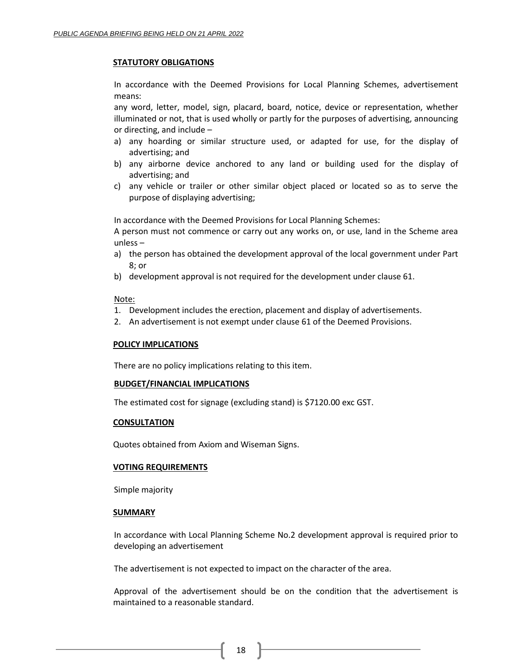## **STATUTORY OBLIGATIONS**

In accordance with the Deemed Provisions for Local Planning Schemes, advertisement means:

any word, letter, model, sign, placard, board, notice, device or representation, whether illuminated or not, that is used wholly or partly for the purposes of advertising, announcing or directing, and include –

- a) any hoarding or similar structure used, or adapted for use, for the display of advertising; and
- b) any airborne device anchored to any land or building used for the display of advertising; and
- c) any vehicle or trailer or other similar object placed or located so as to serve the purpose of displaying advertising;

In accordance with the Deemed Provisions for Local Planning Schemes:

A person must not commence or carry out any works on, or use, land in the Scheme area unless –

- a) the person has obtained the development approval of the local government under Part 8; or
- b) development approval is not required for the development under clause 61.

#### Note:

- 1. Development includes the erection, placement and display of advertisements.
- 2. An advertisement is not exempt under clause 61 of the Deemed Provisions.

## **POLICY IMPLICATIONS**

There are no policy implications relating to this item.

## **BUDGET/FINANCIAL IMPLICATIONS**

The estimated cost for signage (excluding stand) is \$7120.00 exc GST.

## **CONSULTATION**

Quotes obtained from Axiom and Wiseman Signs.

#### **VOTING REQUIREMENTS**

Simple majority

#### **SUMMARY**

In accordance with Local Planning Scheme No.2 development approval is required prior to developing an advertisement

The advertisement is not expected to impact on the character of the area.

Approval of the advertisement should be on the condition that the advertisement is maintained to a reasonable standard.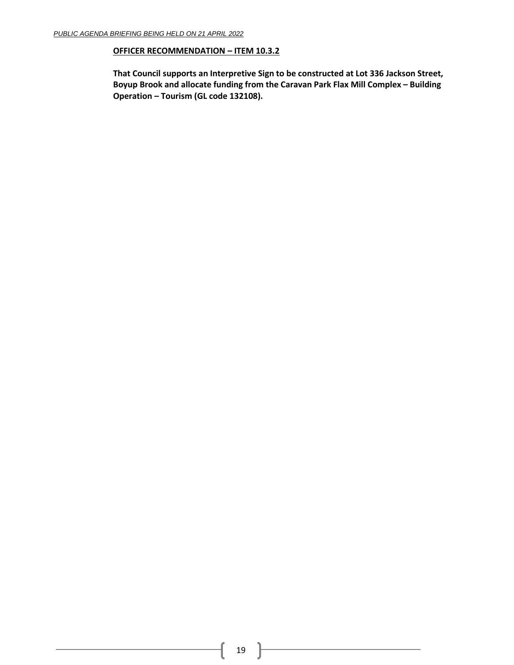# **OFFICER RECOMMENDATION – ITEM 10.3.2**

**That Council supports an Interpretive Sign to be constructed at Lot 336 Jackson Street, Boyup Brook and allocate funding from the Caravan Park Flax Mill Complex – Building Operation – Tourism (GL code 132108).**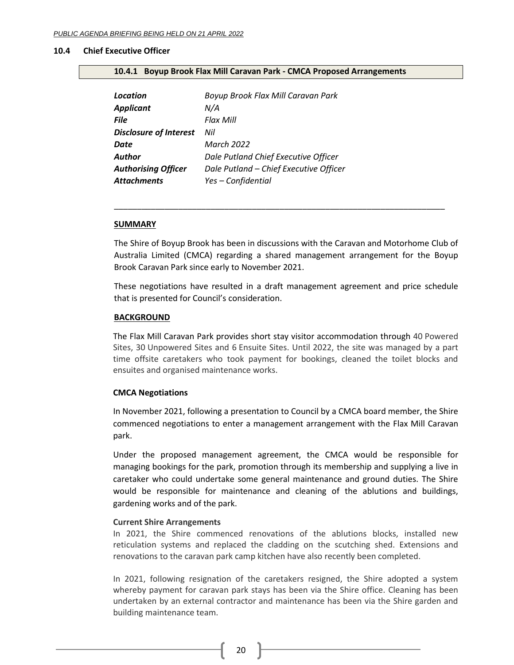#### <span id="page-19-0"></span>**10.4 Chief Executive Officer**

#### <span id="page-19-1"></span>**10.4.1 Boyup Brook Flax Mill Caravan Park - CMCA Proposed Arrangements**

| Location                      | Boyup Brook Flax Mill Caravan Park     |
|-------------------------------|----------------------------------------|
| <b>Applicant</b>              | N/A                                    |
| <b>File</b>                   | Flax Mill                              |
| <b>Disclosure of Interest</b> | Nil                                    |
| Date                          | <b>March 2022</b>                      |
| Author                        | Dale Putland Chief Executive Officer   |
| <b>Authorising Officer</b>    | Dale Putland - Chief Executive Officer |
| <b>Attachments</b>            | Yes - Confidential                     |

#### **SUMMARY**

The Shire of Boyup Brook has been in discussions with the Caravan and Motorhome Club of Australia Limited (CMCA) regarding a shared management arrangement for the Boyup Brook Caravan Park since early to November 2021.

\_\_\_\_\_\_\_\_\_\_\_\_\_\_\_\_\_\_\_\_\_\_\_\_\_\_\_\_\_\_\_\_\_\_\_\_\_\_\_\_\_\_\_\_\_\_\_\_\_\_\_\_\_\_\_\_\_\_\_\_\_\_\_\_\_\_\_\_\_\_\_\_

These negotiations have resulted in a draft management agreement and price schedule that is presented for Council's consideration.

#### **BACKGROUND**

The Flax Mill Caravan Park provides short stay visitor accommodation through 40 Powered Sites, 30 Unpowered Sites and 6 Ensuite Sites. Until 2022, the site was managed by a part time offsite caretakers who took payment for bookings, cleaned the toilet blocks and ensuites and organised maintenance works.

#### **CMCA Negotiations**

In November 2021, following a presentation to Council by a CMCA board member, the Shire commenced negotiations to enter a management arrangement with the Flax Mill Caravan park.

Under the proposed management agreement, the CMCA would be responsible for managing bookings for the park, promotion through its membership and supplying a live in caretaker who could undertake some general maintenance and ground duties. The Shire would be responsible for maintenance and cleaning of the ablutions and buildings, gardening works and of the park.

#### **Current Shire Arrangements**

In 2021, the Shire commenced renovations of the ablutions blocks, installed new reticulation systems and replaced the cladding on the scutching shed. Extensions and renovations to the caravan park camp kitchen have also recently been completed.

In 2021, following resignation of the caretakers resigned, the Shire adopted a system whereby payment for caravan park stays has been via the Shire office. Cleaning has been undertaken by an external contractor and maintenance has been via the Shire garden and building maintenance team.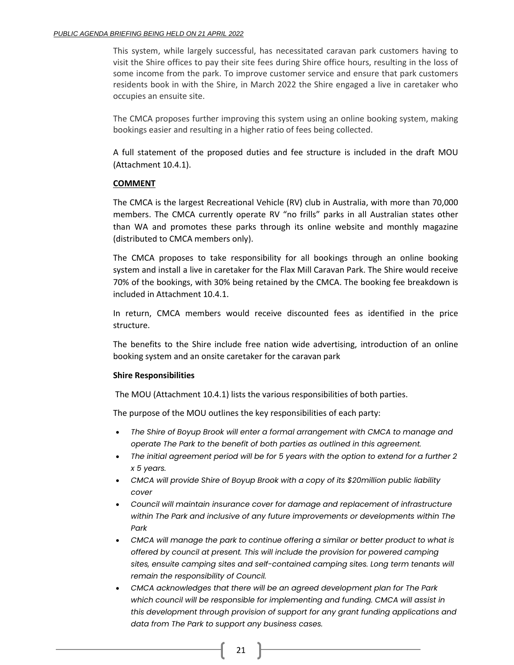This system, while largely successful, has necessitated caravan park customers having to visit the Shire offices to pay their site fees during Shire office hours, resulting in the loss of some income from the park. To improve customer service and ensure that park customers residents book in with the Shire, in March 2022 the Shire engaged a live in caretaker who occupies an ensuite site.

The CMCA proposes further improving this system using an online booking system, making bookings easier and resulting in a higher ratio of fees being collected.

A full statement of the proposed duties and fee structure is included in the draft MOU (Attachment 10.4.1).

## **COMMENT**

The CMCA is the largest Recreational Vehicle (RV) club in Australia, with more than 70,000 members. The CMCA currently operate RV "no frills" parks in all Australian states other than WA and promotes these parks through its online website and monthly magazine (distributed to CMCA members only).

The CMCA proposes to take responsibility for all bookings through an online booking system and install a live in caretaker for the Flax Mill Caravan Park. The Shire would receive 70% of the bookings, with 30% being retained by the CMCA. The booking fee breakdown is included in Attachment 10.4.1.

In return, CMCA members would receive discounted fees as identified in the price structure.

The benefits to the Shire include free nation wide advertising, introduction of an online booking system and an onsite caretaker for the caravan park

## **Shire Responsibilities**

The MOU (Attachment 10.4.1) lists the various responsibilities of both parties.

The purpose of the MOU outlines the key responsibilities of each party:

- *The Shire of Boyup Brook will enter a formal arrangement with CMCA to manage and operate The Park to the benefit of both parties as outlined in this agreement.*
- *The initial agreement period will be for 5 years with the option to extend for a further 2 x 5 years.*
- *CMCA will provide Shire of Boyup Brook with a copy of its \$20million public liability cover*
- *Council will maintain insurance cover for damage and replacement of infrastructure within The Park and inclusive of any future improvements or developments within The Park*
- *CMCA will manage the park to continue offering a similar or better product to what is offered by council at present. This will include the provision for powered camping sites, ensuite camping sites and self-contained camping sites. Long term tenants will remain the responsibility of Council.*
- *CMCA acknowledges that there will be an agreed development plan for The Park which council will be responsible for implementing and funding. CMCA will assist in this development through provision of support for any grant funding applications and data from The Park to support any business cases.*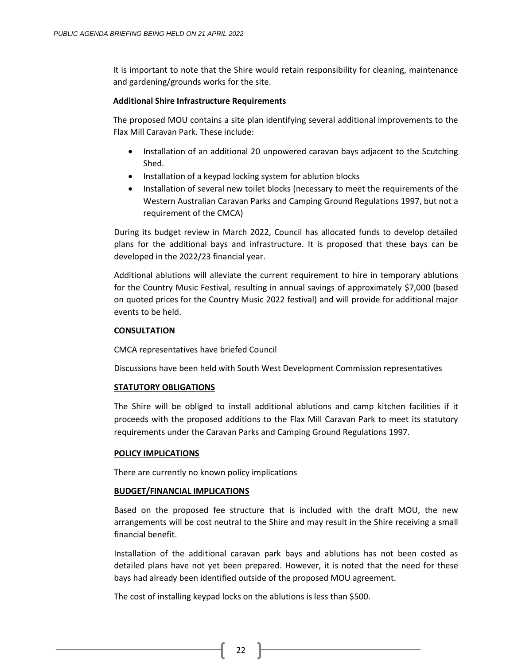It is important to note that the Shire would retain responsibility for cleaning, maintenance and gardening/grounds works for the site.

## **Additional Shire Infrastructure Requirements**

The proposed MOU contains a site plan identifying several additional improvements to the Flax Mill Caravan Park. These include:

- Installation of an additional 20 unpowered caravan bays adjacent to the Scutching Shed.
- Installation of a keypad locking system for ablution blocks
- Installation of several new toilet blocks (necessary to meet the requirements of the Western Australian Caravan Parks and Camping Ground Regulations 1997, but not a requirement of the CMCA)

During its budget review in March 2022, Council has allocated funds to develop detailed plans for the additional bays and infrastructure. It is proposed that these bays can be developed in the 2022/23 financial year.

Additional ablutions will alleviate the current requirement to hire in temporary ablutions for the Country Music Festival, resulting in annual savings of approximately \$7,000 (based on quoted prices for the Country Music 2022 festival) and will provide for additional major events to be held.

## **CONSULTATION**

CMCA representatives have briefed Council

Discussions have been held with South West Development Commission representatives

## **STATUTORY OBLIGATIONS**

The Shire will be obliged to install additional ablutions and camp kitchen facilities if it proceeds with the proposed additions to the Flax Mill Caravan Park to meet its statutory requirements under the Caravan Parks and Camping Ground Regulations 1997.

## **POLICY IMPLICATIONS**

There are currently no known policy implications

## **BUDGET/FINANCIAL IMPLICATIONS**

Based on the proposed fee structure that is included with the draft MOU, the new arrangements will be cost neutral to the Shire and may result in the Shire receiving a small financial benefit.

Installation of the additional caravan park bays and ablutions has not been costed as detailed plans have not yet been prepared. However, it is noted that the need for these bays had already been identified outside of the proposed MOU agreement.

The cost of installing keypad locks on the ablutions is less than \$500.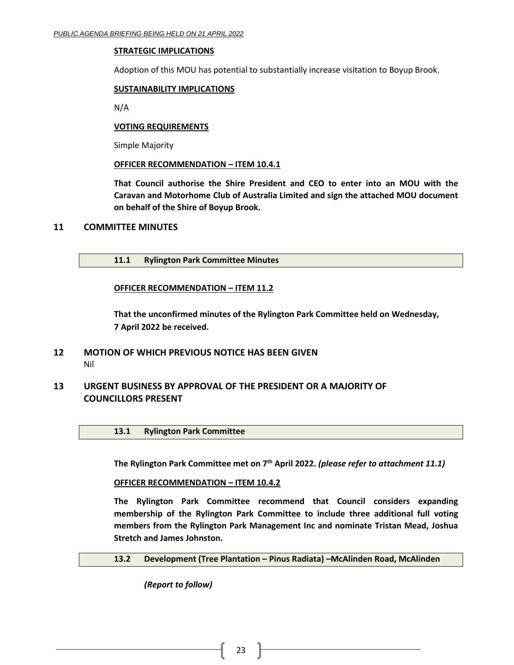## **STRATEGIC IMPLICATIONS**

Adoption of this MOU has potential to substantially increase visitation to Boyup Brook.

## **SUSTAINABILITY IMPLICATIONS**

N/A

## **VOTING REQUIREMENTS**

Simple Majority

## **OFFICER RECOMMENDATION – ITEM 10.4.1**

**That Council authorise the Shire President and CEO to enter into an MOU with the Caravan and Motorhome Club of Australia Limited and sign the attached MOU document on behalf of the Shire of Boyup Brook.**

## <span id="page-22-0"></span>**11 COMMITTEE MINUTES**

<span id="page-22-1"></span>**11.1 Rylington Park Committee Minutes**

## **OFFICER RECOMMENDATION – ITEM 11.2**

**That the unconfirmed minutes of the Rylington Park Committee held on Wednesday, 7 April 2022 be received.**

# <span id="page-22-2"></span>**12 MOTION OF WHICH PREVIOUS NOTICE HAS BEEN GIVEN** Nil

# <span id="page-22-4"></span><span id="page-22-3"></span>**13 URGENT BUSINESS BY APPROVAL OF THE PRESIDENT OR A MAJORITY OF COUNCILLORS PRESENT**

<span id="page-22-5"></span>**13.1 Rylington Park Committee**

**The Rylington Park Committee met on 7th April 2022.** *(please refer to attachment 11.1)*

**OFFICER RECOMMENDATION – ITEM 10.4.2**

**The Rylington Park Committee recommend that Council considers expanding membership of the Rylington Park Committee to include three additional full voting members from the Rylington Park Management Inc and nominate Tristan Mead, Joshua Stretch and James Johnston.**

## <span id="page-22-6"></span>**13.2 Development (Tree Plantation – Pinus Radiata) –McAlinden Road, McAlinden**

*(Report to follow)*